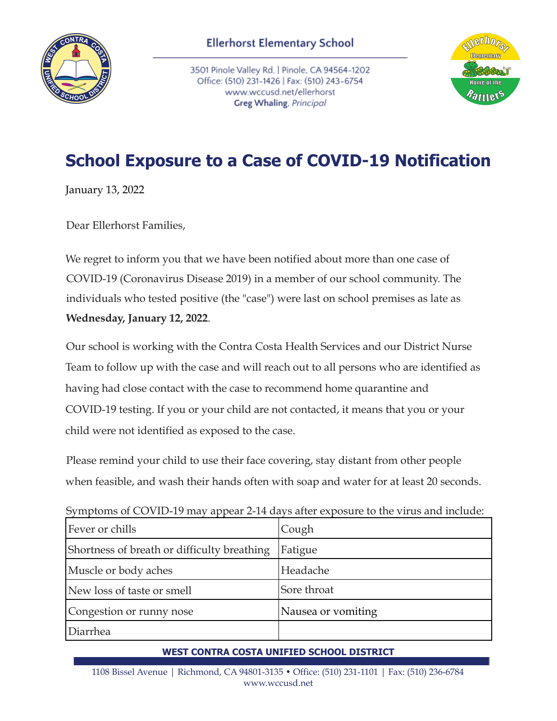

3501 Pinole Valley Rd. | Pinole, CA 94564-1202 Office: (510) 231-1426 | Fax: (510) 243-6754 www.wccusd.net/ellerhorst Greg Whaling, Principal



## **School Exposure to a Case of COVID-19 Notification**

January 13, 2022

Dear Ellerhorst Families,

We regret to inform you that we have been notified about more than one case of COVID-19 (Coronavirus Disease 2019) in a member of our school community. The individuals who tested positive (the "case") were last on school premises as late as **Wednesday, January 12, 2022**.

Our school is working with the Contra Costa Health Services and our District Nurse Team to follow up with the case and will reach out to all persons who are identified as having had close contact with the case to recommend home quarantine and COVID-19 testing. If you or your child are not contacted, it means that you or your child were not identified as exposed to the case.

Please remind your child to use their face covering, stay distant from other people when feasible, and wash their hands often with soap and water for at least 20 seconds.

| Symptoms of COVID-19 may appear 2-14 days after exposure to the virus and include: |                    |
|------------------------------------------------------------------------------------|--------------------|
| Fever or chills                                                                    | Cough              |
| Shortness of breath or difficulty breathing                                        | Fatigue            |
| Muscle or body aches                                                               | Headache           |
| New loss of taste or smell                                                         | Sore throat        |
| Congestion or runny nose                                                           | Nausea or vomiting |
| Diarrhea                                                                           |                    |
|                                                                                    |                    |

Symptoms of COVID-19 may appear 2-14 days after exposure to the virus and include:

## **WEST CONTRA COSTA UNIFIED SCHOOL DISTRICT**

1108 Bissel Avenue | Richmond, CA 94801-3135 • Office: (510) 231-1101 | Fax: (510) 236-6784 www.wccusd.net